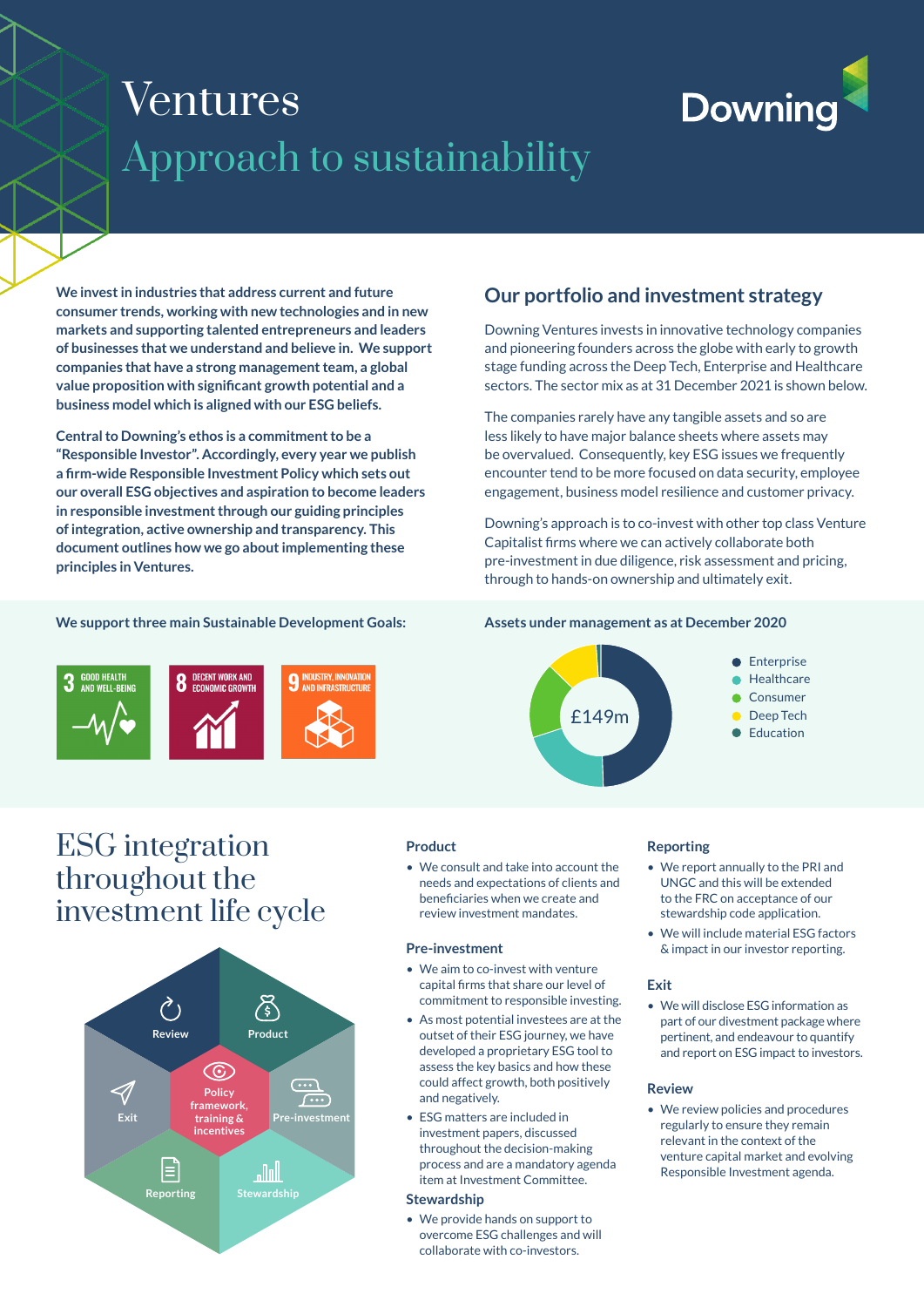# Ventures Approach to sustainability

# **Downing**

**We invest in industries that address current and future consumer trends, working with new technologies and in new markets and supporting talented entrepreneurs and leaders of businesses that we understand and believe in. We support companies that have a strong management team, a global value proposition with significant growth potential and a business model which is aligned with our ESG beliefs.** 

**Central to Downing's ethos is a commitment to be a "Responsible Investor". Accordingly, every year we publish a firm-wide Responsible Investment Policy which sets out our overall ESG objectives and aspiration to become leaders in responsible investment through our guiding principles of integration, active ownership and transparency. This document outlines how we go about implementing these principles in Ventures.**

## **We support three main Sustainable Development Goals:**



## ESG integration throughout the investment life cycle



## **Our portfolio and investment strategy**

Downing Ventures invests in innovative technology companies and pioneering founders across the globe with early to growth stage funding across the Deep Tech, Enterprise and Healthcare sectors. The sector mix as at 31 December 2021 is shown below.

The companies rarely have any tangible assets and so are less likely to have major balance sheets where assets may be overvalued. Consequently, key ESG issues we frequently encounter tend to be more focused on data security, employee engagement, business model resilience and customer privacy.

Downing's approach is to co-invest with other top class Venture Capitalist firms where we can actively collaborate both pre-investment in due diligence, risk assessment and pricing, through to hands-on ownership and ultimately exit.

## **Assets under management as at December 2020**



## **Reporting**

- We report annually to the PRI and UNGC and this will be extended to the FRC on acceptance of our stewardship code application.
- We will include material ESG factors & impact in our investor reporting.

## **Exit**

• We will disclose ESG information as part of our divestment package where pertinent, and endeavour to quantify and report on ESG impact to investors.

#### **Review**

• We review policies and procedures regularly to ensure they remain relevant in the context of the venture capital market and evolving Responsible Investment agenda.

## **Product**

• We consult and take into account the needs and expectations of clients and beneficiaries when we create and review investment mandates.

## **Pre-investment**

- We aim to co-invest with venture capital firms that share our level of commitment to responsible investing.
- As most potential investees are at the outset of their ESG journey, we have developed a proprietary ESG tool to assess the key basics and how these could affect growth, both positively and negatively.
- ESG matters are included in investment papers, discussed throughout the decision-making process and are a mandatory agenda item at Investment Committee.

#### **Stewardship**

• We provide hands on support to overcome ESG challenges and will collaborate with co-investors.